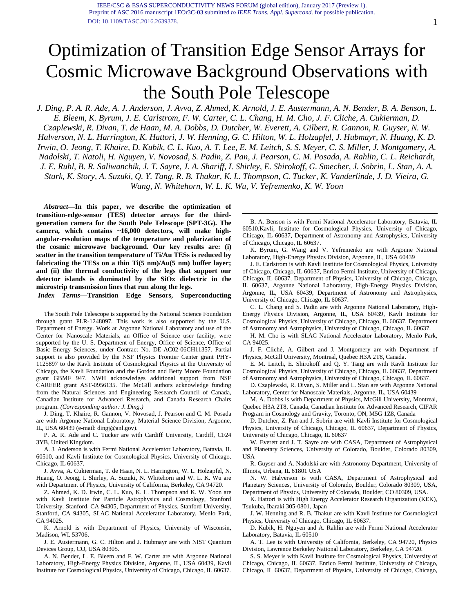# Optimization of Transition Edge Sensor Arrays for Cosmic Microwave Background Observations with the South Pole Telescope

*J. Ding, P. A. R. Ade, A. J. Anderson, J. Avva, Z. Ahmed, K. Arnold, J. E. Austermann, A. N. Bender, B. A. Benson, L. E. Bleem, K. Byrum, J. E. Carlstrom, F. W. Carter, C. L. Chang, H. M. Cho, J. F. Cliche, A. Cukierman, D. Czaplewski, R. Divan, T. de Haan, M. A. Dobbs, D. Dutcher, W. Everett, A. Gilbert, R. Gannon, R. Guyser, N. W. Halverson, N. L. Harrington, K. Hattori, J. W. Henning, G. C. Hilton, W. L. Holzapfel, J. Hubmayr, N. Huang, K. D. Irwin, O. Jeong, T. Khaire, D. Kubik, C. L. Kuo, A. T. Lee, E. M. Leitch, S. S. Meyer, C. S. Miller, J. Montgomery, A. Nadolski, T. Natoli, H. Nguyen, V. Novosad, S. Padin, Z. Pan, J. Pearson, C. M. Posada, A. Rahlin, C. L. Reichardt, J. E. Ruhl, B. R. Saliwanchik, J. T. Sayre, J. A. Shariff, I. Shirley, E. Shirokoff, G. Smecher, J. Sobrin, L. Stan, A. A. Stark, K. Story, A. Suzuki, Q. Y. Tang, R. B. Thakur, K. L. Thompson, C. Tucker, K. Vanderlinde, J. D. Vieira, G. Wang, N. Whitehorn, W. L. K. Wu, V. Yefremenko, K. W. Yoon*

*Abstract***—In this paper, we describe the optimization of transition-edge-sensor (TES) detector arrays for the thirdgeneration camera for the South Pole Telescope (SPT-3G). The camera, which contains ~16,000 detectors, will make highangular-resolution maps of the temperature and polarization of the cosmic microwave background. Our key results are: (i) scatter in the transition temperature of Ti/Au TESs is reduced by fabricating the TESs on a thin Ti(5 nm)/Au(5 nm) buffer layer; and (ii) the thermal conductivity of the legs that support our detector islands is dominated by the SiOx dielectric in the microstrip transmission lines that run along the legs.**

*Index Terms***—Transition Edge Sensors, Superconducting** 

The South Pole Telescope is supported by the National Science Foundation through grant PLR-1248097. This work is also supported by the U.S. Department of Energy. Work at Argonne National Laboratory and use of the Center for Nanoscale Materials, an Office of Science user facility, were supported by the U. S. Department of Energy, Office of Science, Office of Basic Energy Sciences, under Contract No. DE-AC02-06CH11357. Partial support is also provided by the NSF Physics Frontier Center grant PHY-1125897 to the Kavli Institute of Cosmological Physics at the University of Chicago, the Kavli Foundation and the Gordon and Betty Moore Foundation grant GBMF 947. NWH acknowledges additional support from NSF CAREER grant AST-0956135. The McGill authors acknowledge funding from the Natural Sciences and Engineering Research Council of Canada, Canadian Institute for Advanced Research, and Canada Research Chairs program. *(Corresponding author: J. Ding.)*

J. Ding, T. Khaire, R. Gannon, V. Novosad, J. Pearson and C. M. Posada are with Argonne National Laboratory, Material Science Division, Argonne, IL, USA 60439 (e-mail: dingj@anl.gov).

P. A. R. Ade and C. Tucker are with Cardiff University, Cardiff, CF24 3YB, United Kingdom.

A. J. Anderson is with Fermi National Accelerator Laboratory, Batavia, IL 60510, and Kavli Institute for Cosmological Physics, University of Chicago, Chicago, IL 60637.

J. Avva, A. Cukierman, T. de Haan, N. L. Harrington, W. L. Holzapfel, N. Huang, O. Jeong, I. Shirley, A. Suzuki, N. Whitehorn and W. L. K. Wu are with Department of Physics, University of California, Berkeley, CA 94720.

Z. Ahmed, K. D. Irwin, C. L. Kuo, K. L. Thompson and K. W. Yoon are with Kavli Institute for Particle Astrophysics and Cosmology, Stanford University, Stanford, CA 94305, Department of Physics, Stanford University, Stanford, CA 94305, SLAC National Accelerator Laboratory, Menlo Park, CA 94025.

K. Arnold is with Department of Physics, University of Wisconsin, Madison, WI. 53706.

J. E. Austermann, G. C. Hilton and J. Hubmayr are with NIST Quantum Devices Group, CO, USA 80305.

A. N. Bender, L. E. Bleem and F. W. Carter are with Argonne National Laboratory, High-Energy Physics Division, Argonne, IL, USA 60439, Kavli Institute for Cosmological Physics, University of Chicago, Chicago, IL 60637.

B. A. Benson is with Fermi National Accelerator Laboratory, Batavia, IL 60510,Kavli, Institute for Cosmological Physics, University of Chicago, Chicago, IL 60637, Department of Astronomy and Astrophysics, University of Chicago, Chicago, IL 60637.

K. Byrum, G. Wang and V. Yefremenko are with Argonne National Laboratory, High-Energy Physics Division, Argonne, IL, USA 60439

J. E. Carlstrom is with Kavli Institute for Cosmological Physics, University of Chicago, Chicago, IL 60637, Enrico Fermi Institute, University of Chicago, Chicago, IL 60637, Department of Physics, University of Chicago, Chicago, IL 60637, Argonne National Laboratory, High-Energy Physics Division, Argonne, IL, USA 60439, Department of Astronomy and Astrophysics, University of Chicago, Chicago, IL 60637.

C. L. Chang and S. Padin are with Argonne National Laboratory, High-Energy Physics Division, Argonne, IL, USA 60439, Kavli Institute for Cosmological Physics, University of Chicago, Chicago, IL 60637, Department of Astronomy and Astrophysics, University of Chicago, Chicago, IL 60637.

H. M. Cho is with SLAC National Accelerator Laboratory, Menlo Park, CA 94025.

J. F. Cliché, A. Gilbert and J. Montgomery are with Department of Physics, McGill University, Montreal, Quebec H3A 2T8, Canada.

E. M. Leitch, E. Shirokoff and Q. Y. Tang are with Kavli Institute for Cosmological Physics, University of Chicago, Chicago, IL 60637, Department of Astronomy and Astrophysics, University of Chicago, Chicago, IL 60637.

D. Czaplewski, R. Divan, S. Miller and L. Stan are with Argonne National Laboratory, Center for Nanoscale Materials, Argonne, IL, USA 60439

M. A. Dobbs is with Department of Physics, McGill University, Montreal, Quebec H3A 2T8, Canada, Canadian Institute for Advanced Research, CIFAR Program in Cosmology and Gravity, Toronto, ON, M5G 1Z8, Canada

D. Dutcher, Z. Pan and J. Sobrin are with Kavli Institute for Cosmological Physics, University of Chicago, Chicago, IL 60637, Department of Physics, University of Chicago, Chicago, IL 60637

W. Everett and J. T. Sayre are with CASA, Department of Astrophysical and Planetary Sciences, University of Colorado, Boulder, Colorado 80309, USA

R. Guyser and A. Nadolski are with Astronomy Department, University of Illinois, Urbana, IL 61801 USA

N. W. Halverson is with CASA, Department of Astrophysical and Planetary Sciences, University of Colorado, Boulder, Colorado 80309, USA, Department of Physics, University of Colorado, Boulder, CO 80309, USA.

K. Hattori is with High Energy Accelerator Research Organization (KEK), Tsukuba, Ibaraki 305-0801, Japan

J. W. Henning and R. B. Thakur are with Kavli Institute for Cosmological Physics, University of Chicago, Chicago, IL 60637.

D. Kubik, H. Nguyen and A. Rahlin are with Fermi National Accelerator Laboratory, Batavia, IL 60510

A. T. Lee is with University of California, Berkeley, CA 94720, Physics Division, Lawrence Berkeley National Laboratory, Berkeley, CA 94720.

S. S. Meyer is with Kavli Institute for Cosmological Physics, University of Chicago, Chicago, IL 60637, Enrico Fermi Institute, University of Chicago, Chicago, IL 60637, Department of Physics, University of Chicago, Chicago,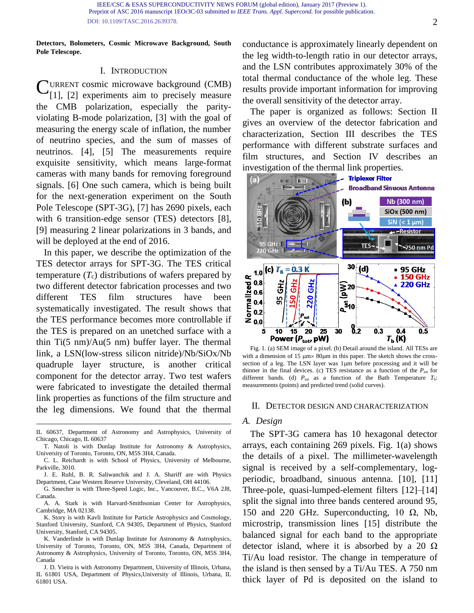IEEE/CSC & ESAS SUPERCONDUCTIVITY NEWS FORUM (global edition), January 2017 (Preview 1). [Preprint of ASC 2016 manuscript 1EOr](http://ieeexplore.ieee.org/document/7784774/)3C-03 submitted *to IEEE Trans. Appl. Supercond.* for possible publication. DOI: 10.1109/TASC.2016.2639378.

**Detectors, Bolometers, Cosmic Microwave Background, South Pole Telescope.**

#### I. INTRODUCTION

**CURRENT cosmic microwave background (CMB)**<br>[11. [2] experiments aim to precisely measure [1], [2] experiments aim to precisely measure the CMB polarization, especially the parityviolating B-mode polarization, [3] with the goal of measuring the energy scale of inflation, the number of neutrino species, and the sum of masses of neutrinos. [4], [5] The measurements require exquisite sensitivity, which means large-format cameras with many bands for removing foreground signals. [6] One such camera, which is being built for the next-generation experiment on the South Pole Telescope (SPT-3G), [7] has 2690 pixels, each with 6 transition-edge sensor (TES) detectors [8], [9] measuring 2 linear polarizations in 3 bands, and will be deployed at the end of 2016.

In this paper, we describe the optimization of the TES detector arrays for SPT-3G. The TES critical temperature  $(T_c)$  distributions of wafers prepared by two different detector fabrication processes and two different TES film structures have been systematically investigated. The result shows that the TES performance becomes more controllable if the TES is prepared on an unetched surface with a thin  $Ti(5 \text{ nm})/Au(5 \text{ nm})$  buffer layer. The thermal link, a LSN(low-stress silicon nitride)/Nb/SiOx/Nb quadruple layer structure, is another critical component for the detector array. Two test wafers were fabricated to investigate the detailed thermal link properties as functions of the film structure and the leg dimensions. We found that the thermal

- IL 60637, Department of Astronomy and Astrophysics, University of Chicago, Chicago, IL 60637
- T. Natoli is with Dunlap Institute for Astronomy & Astrophysics, University of Toronto, Toronto, ON, M5S 3H4, Canada.
- C. L. Reichardt is with School of Physics, University of Melbourne, Parkville, 3010.
- J. E. Ruhl, B. R. Saliwanchik and J. A. Shariff are with Physics Department, Case Western Reserve University, Cleveland, OH 44106.
- G. Smecher is with Three-Speed Logic, Inc., Vancouver, B.C., V6A 2J8, Canada.
- A. A. Stark is with Harvard-Smithsonian Center for Astrophysics, Cambridge, MA 02138.

K. Story is with Kavli Institute for Particle Astrophysics and Cosmology, Stanford University, Stanford, CA 94305, Department of Physics, Stanford University, Stanford, CA 94305.

K. Vanderlinde is with Dunlap Institute for Astronomy & Astrophysics, University of Toronto, Toronto, ON, M5S 3H4, Canada, Department of Astronomy & Astrophysics, University of Toronto, Toronto, ON, M5S 3H4, Canada

J. D. Vieira is with Astronomy Department, University of Illinois, Urbana, IL 61801 USA, Department of Physics,University of Illinois, Urbana, IL 61801 USA.

conductance is approximately linearly dependent on the leg width-to-length ratio in our detector arrays, and the LSN contributes approximately 30% of the total thermal conductance of the whole leg. These results provide important information for improving the overall sensitivity of the detector array.

The paper is organized as follows: Section II gives an overview of the detector fabrication and characterization, Section III describes the TES performance with different substrate surfaces and film structures, and Section IV describes an investigation of the thermal link properties.



Fig. 1. (a) SEM image of a pixel. (b) Detail around the island. All TESs are with a dimension of 15  $\mu$ m $\times$  80 $\mu$ m in this paper. The sketch shows the crosssection of a leg. The LSN layer was 1µm before processing and it will be thinner in the final devices. (c) TES resistance as a function of the  $P_{\text{tot}}$  for different bands. (d)  $P_{sat}$  as a function of the Bath Temperature  $T_b$ : measurements (points) and predicted trend (solid curves).

#### II. DETECTOR DESIGN AND CHARACTERIZATION

## *A. Design*

The SPT-3G camera has 10 hexagonal detector arrays, each containing 269 pixels. Fig. 1(a) shows the details of a pixel. The millimeter-wavelength signal is received by a self-complementary, logperiodic, broadband, sinuous antenna. [10], [11] Three-pole, quasi-lumped-element filters [12]–[14] split the signal into three bands centered around 95, 150 and 220 GHz. Superconducting, 10  $\Omega$ , Nb, microstrip, transmission lines [15] distribute the balanced signal for each band to the appropriate detector island, where it is absorbed by a 20  $\Omega$ Ti/Au load resistor. The change in temperature of the island is then sensed by a Ti/Au TES. A 750 nm thick layer of Pd is deposited on the island to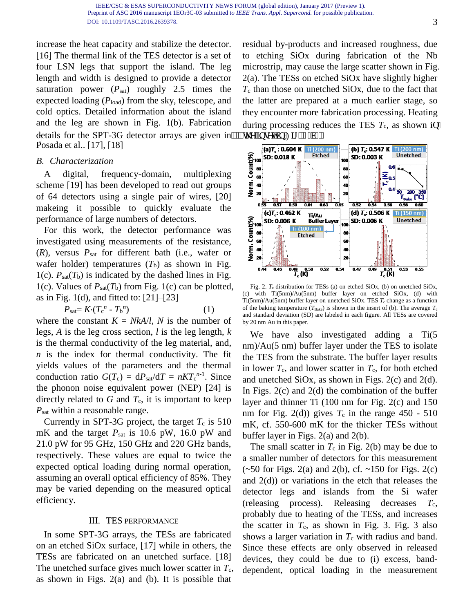increase the heat capacity and stabilize the detector. [16] The thermal link of the TES detector is a set of four LSN legs that support the island. The leg length and width is designed to provide a detector saturation power  $(P_{sat})$  roughly 2.5 times the expected loading (*P*load) from the sky, telescope, and cold optics. Detailed information about the island and the leg are shown in Fig. 1(b). Fabrication details for the SPT-3G detector arrays are given in"""" $\dot{y}$  g'lougv'loughland 04  $\dot{y}$ d $+0$ Posada et al.. [17], [18]

# *B. Characterization*

A digital, frequency-domain, multiplexing scheme [19] has been developed to read out groups of 64 detectors using a single pair of wires, [20] makeing it possible to quickly evaluate the performance of large numbers of detectors.

For this work, the detector performance was investigated using measurements of the resistance, (*R*), versus *P*sat for different bath (i.e., wafer or wafer holder) temperatures  $(T_b)$  as shown in Fig. 1(c).  $P_{sat}(T_b)$  is indicated by the dashed lines in Fig. 1(c). Values of *P*sat(*T*b) from Fig. 1(c) can be plotted, as in Fig. 1(d), and fitted to:  $[21]$ – $[23]$ 

$$
P_{\text{sat}} = K \cdot (T_c^n - T_b^n) \tag{1}
$$

where the constant  $K = NkA/l$ , N is the number of legs, *A* is the leg cross section, *l* is the leg length, *k* is the thermal conductivity of the leg material, and, *n* is the index for thermal conductivity. The fit yields values of the parameters and the thermal conduction ratio  $G(T_c) = dP_{sat}/dT = nKT_c^{n-1}$ . Since the phonon noise equivalent power (NEP) [24] is directly related to  $G$  and  $T_c$ , it is important to keep *P*sat within a reasonable range.

Currently in SPT-3G project, the target  $T_c$  is 510 mK and the target *P*sat is 10.6 pW, 16.0 pW and 21.0 pW for 95 GHz, 150 GHz and 220 GHz bands, respectively. These values are equal to twice the expected optical loading during normal operation, assuming an overall optical efficiency of 85%. They may be varied depending on the measured optical efficiency.

## III. TES PERFORMANCE

In some SPT-3G arrays, the TESs are fabricated on an etched SiOx surface, [17] while in others, the TESs are fabricated on an unetched surface. [18] The unetched surface gives much lower scatter in  $T_c$ , as shown in Figs. 2(a) and (b). It is possible that

residual by-products and increased roughness, due to etching SiOx during fabrication of the Nb microstrip, may cause the large scatter shown in Fig. 2(a). The TESs on etched SiOx have slightly higher  $T_c$  than those on unetched SiOx, due to the fact that the latter are prepared at a much earlier stage, so they encounter more fabrication processing. Heating during processing reduces the TES  $T_c$ , as shown ip"



Fig. 2.  $T_c$  distribution for TESs (a) on etched SiOx, (b) on unetched SiOx, (c) with Ti(5nm)/Au(5nm) buffer layer on etched SiOx, (d) with  $\mathrm{Ti}(5\mathrm{nm})/\mathrm{Au}(5\mathrm{nm})$  buffer layer on unetched SiOx. TES  $T_\mathrm{c}$  change as a function of the baking temperature ( $T_{\text{Bake}}$ ) is shown in the insert of (b). The average  $T_c$ and standard deviation (SD) are labeled in each figure. All TESs are covered by 20 nm Au in this paper.

We have also investigated adding a Ti(5 nm)/Au(5 nm) buffer layer under the TES to isolate the TES from the substrate. The buffer layer results in lower  $T_c$ , and lower scatter in  $T_c$ , for both etched and unetched SiOx, as shown in Figs. 2(c) and 2(d). In Figs.  $2(c)$  and  $2(d)$  the combination of the buffer layer and thinner Ti (100 nm for Fig. 2(c) and 150 nm for Fig. 2(d)) gives  $T_c$  in the range 450 - 510 mK, cf. 550-600 mK for the thicker TESs without buffer layer in Figs. 2(a) and 2(b).

The small scatter in  $T_c$  in Fig. 2(b) may be due to a smaller number of detectors for this measurement  $(-50$  for Figs. 2(a) and 2(b), cf.  $\sim$ 150 for Figs. 2(c) and 2(d)) or variations in the etch that releases the detector legs and islands from the Si wafer (releasing process). Releasing decreases  $T_c$ , probably due to heating of the TESs, and increases the scatter in  $T_c$ , as shown in Fig. 3. Fig. 3 also shows a larger variation in  $T_c$  with radius and band. Since these effects are only observed in released devices, they could be due to (i) excess, banddependent, optical loading in the measurement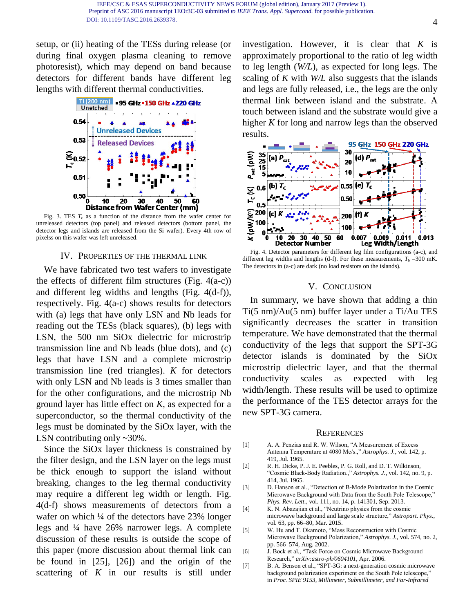setup, or (ii) heating of the TESs during release (or during final oxygen plasma cleaning to remove photoresist), which may depend on band because detectors for different bands have different leg lengths with different thermal conductivities.



Fig. 3. TES  $T_c$  as a function of the distance from the wafer center for unreleased detectors (top panel) and released detectors (bottom panel, the detector legs and islands are released from the Si wafer). Every 4th row of pixelss on this wafer was left unreleased.

## IV. PROPERTIES OF THE THERMAL LINK

We have fabricated two test wafers to investigate the effects of different film structures (Fig.  $4(a-c)$ ) and different leg widths and lengths (Fig. 4(d-f)), respectively. Fig. 4(a-c) shows results for detectors with (a) legs that have only LSN and Nb leads for reading out the TESs (black squares), (b) legs with LSN, the 500 nm SiOx dielectric for microstrip transmission line and Nb leads (blue dots), and (c) legs that have LSN and a complete microstrip transmission line (red triangles). *K* for detectors with only LSN and Nb leads is 3 times smaller than for the other configurations, and the microstrip Nb ground layer has little effect on *K*, as expected for a superconductor, so the thermal conductivity of the legs must be dominated by the SiOx layer, with the LSN contributing only ~30%.

Since the SiOx layer thickness is constrained by the filter design, and the LSN layer on the legs must be thick enough to support the island without breaking, changes to the leg thermal conductivity may require a different leg width or length. Fig. 4(d-f) shows measurements of detectors from a wafer on which ¼ of the detectors have 23% longer legs and ¼ have 26% narrower legs. A complete discussion of these results is outside the scope of this paper (more discussion about thermal link can be found in [25], [26]) and the origin of the scattering of *K* in our results is still under

investigation. However, it is clear that *K* is approximately proportional to the ratio of leg width to leg length (*W/L*), as expected for long legs. The scaling of *K* with *W/L* also suggests that the islands and legs are fully released, i.e., the legs are the only thermal link between island and the substrate. A touch between island and the substrate would give a higher *K* for long and narrow legs than the observed results.



Fig. 4. Detector parameters for different leg film configurations (a-c), and different leg widths and lengths (d-f). For these measurements,  $T<sub>b</sub> = 300$  mK. The detectors in (a-c) are dark (no load resistors on the islands).

### V. CONCLUSION

In summary, we have shown that adding a thin Ti(5 nm)/Au(5 nm) buffer layer under a Ti/Au TES significantly decreases the scatter in transition temperature. We have demonstrated that the thermal conductivity of the legs that support the SPT-3G detector islands is dominated by the SiOx microstrip dielectric layer, and that the thermal conductivity scales as expected with leg width/length. These results will be used to optimize the performance of the TES detector arrays for the new SPT-3G camera.

#### **REFERENCES**

- [1] A. A. Penzias and R. W. Wilson, "A Measurement of Excess Antenna Temperature at 4080 Mc/s.," *Astrophys. J.*, vol. 142, p. 419, Jul. 1965.
- [2] R. H. Dicke, P. J. E. Peebles, P. G. Roll, and D. T. Wilkinson, "Cosmic Black-Body Radiation.," *Astrophys. J.*, vol. 142, no. 9, p. 414, Jul. 1965.
- [3] D. Hanson et al., "Detection of B-Mode Polarization in the Cosmic Microwave Background with Data from the South Pole Telescope," *Phys. Rev. Lett.*, vol. 111, no. 14, p. 141301, Sep. 2013.
- [4] K. N. Abazajian et al., "Neutrino physics from the cosmic microwave background and large scale structure," *Astropart. Phys.*, vol. 63, pp. 66–80, Mar. 2015.
- [5] W. Hu and T. Okamoto, "Mass Reconstruction with Cosmic Microwave Background Polarization," *Astrophys. J.*, vol. 574, no. 2, pp. 566–574, Aug. 2002.
- [6] J. Bock et al., "Task Force on Cosmic Microwave Background Research," *arXiv:astro-ph/0604101*, Apr. 2006.
- [7] B. A. Benson et al., "SPT-3G: a next-generation cosmic microwave background polarization experiment on the South Pole telescope," in *Proc. SPIE 9153, Millimeter, Submillimeter, and Far-Infrared*